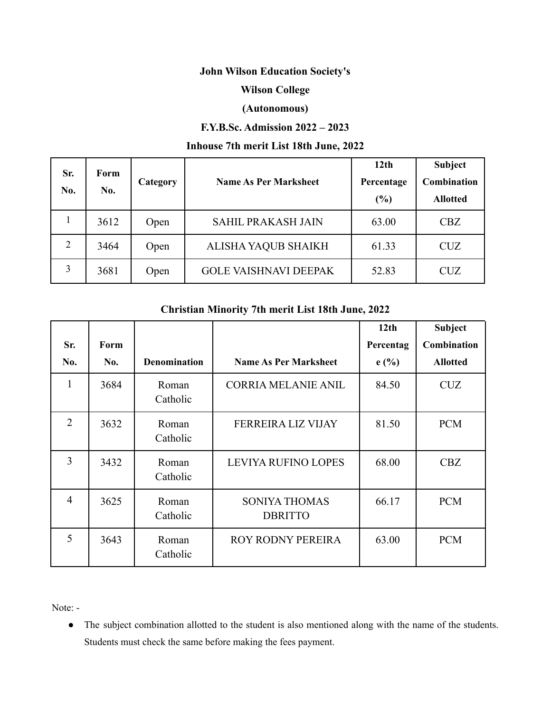## **John Wilson Education Society's**

## **Wilson College**

## **(Autonomous)**

# **F.Y.B.Sc. Admission 2022 – 2023**

#### **Inhouse 7th merit List 18th June, 2022**

| Sr.<br>No. | Form<br>No. | Category | <b>Name As Per Marksheet</b> | 12 <sub>th</sub><br>Percentage<br>(%) | Subject<br>Combination<br><b>Allotted</b> |
|------------|-------------|----------|------------------------------|---------------------------------------|-------------------------------------------|
|            | 3612        | Open     | <b>SAHIL PRAKASH JAIN</b>    | 63.00                                 | <b>CBZ</b>                                |
| 2          | 3464        | Open     | ALISHA YAQUB SHAIKH          | 61.33                                 | <b>CUZ</b>                                |
|            | 3681        | Open     | <b>GOLE VAISHNAVI DEEPAK</b> | 52.83                                 | CUZ                                       |

### **Christian Minority 7th merit List 18th June, 2022**

|                |      |                     |                                        | 12th      | Subject         |
|----------------|------|---------------------|----------------------------------------|-----------|-----------------|
| Sr.            | Form |                     |                                        | Percentag | Combination     |
| No.            | No.  | <b>Denomination</b> | <b>Name As Per Marksheet</b>           | e(%)      | <b>Allotted</b> |
| 1              | 3684 | Roman<br>Catholic   | <b>CORRIA MELANIE ANIL</b>             | 84.50     | <b>CUZ</b>      |
| $\overline{2}$ | 3632 | Roman<br>Catholic   | <b>FERREIRA LIZ VIJAY</b>              | 81.50     | <b>PCM</b>      |
| $\overline{3}$ | 3432 | Roman<br>Catholic   | <b>LEVIYA RUFINO LOPES</b>             | 68.00     | <b>CBZ</b>      |
| $\overline{4}$ | 3625 | Roman<br>Catholic   | <b>SONIYA THOMAS</b><br><b>DBRITTO</b> | 66.17     | <b>PCM</b>      |
| 5              | 3643 | Roman<br>Catholic   | <b>ROY RODNY PEREIRA</b>               | 63.00     | <b>PCM</b>      |

Note: -

● The subject combination allotted to the student is also mentioned along with the name of the students. Students must check the same before making the fees payment.